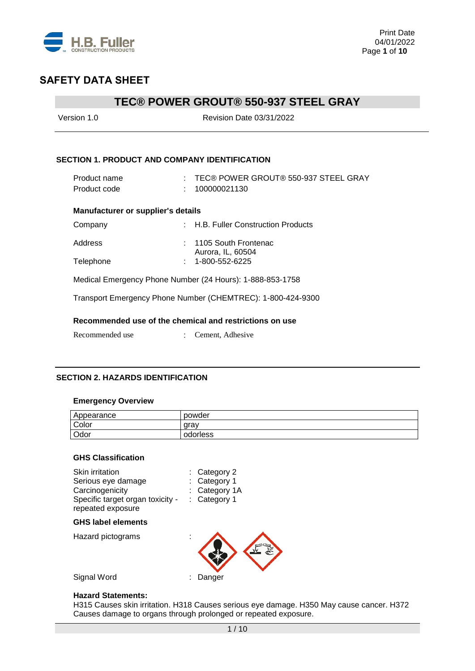

# **TEC® POWER GROUT® 550-937 STEEL GRAY**

| Version 1.0                                          | <b>Revision Date 03/31/2022</b>                             |
|------------------------------------------------------|-------------------------------------------------------------|
| <b>SECTION 1. PRODUCT AND COMPANY IDENTIFICATION</b> |                                                             |
|                                                      |                                                             |
| Product name                                         | : TEC® POWER GROUT® 550-937 STEEL GRAY                      |
| Product code                                         | 100000021130                                                |
| <b>Manufacturer or supplier's details</b>            |                                                             |
| Company                                              | : H.B. Fuller Construction Products                         |
| Address                                              | : 1105 South Frontenac                                      |
| Telephone                                            | Aurora, IL, 60504<br>1-800-552-6225                         |
|                                                      |                                                             |
|                                                      | Medical Emergency Phone Number (24 Hours): 1-888-853-1758   |
|                                                      | Transport Emergency Phone Number (CHEMTREC): 1-800-424-9300 |
|                                                      | Recommended use of the chemical and restrictions on use     |
| Recommended use                                      | Cement, Adhesive                                            |
|                                                      |                                                             |

### **SECTION 2. HAZARDS IDENTIFICATION**

#### **Emergency Overview**

| Appearance | powder   |
|------------|----------|
| Color      | arav     |
| Odor       | odorless |

#### **GHS Classification**

| Skin irritation<br>Serious eye damage<br>Carcinogenicity<br>Specific target organ toxicity -<br>repeated exposure | $:$ Category 2<br>Category 1<br>: Category 1A<br>Category 1 |
|-------------------------------------------------------------------------------------------------------------------|-------------------------------------------------------------|
| <b>GHS label elements</b>                                                                                         |                                                             |
| Hazard pictograms                                                                                                 |                                                             |
| Signal Word                                                                                                       | Danger                                                      |

#### **Hazard Statements:**

H315 Causes skin irritation. H318 Causes serious eye damage. H350 May cause cancer. H372 Causes damage to organs through prolonged or repeated exposure.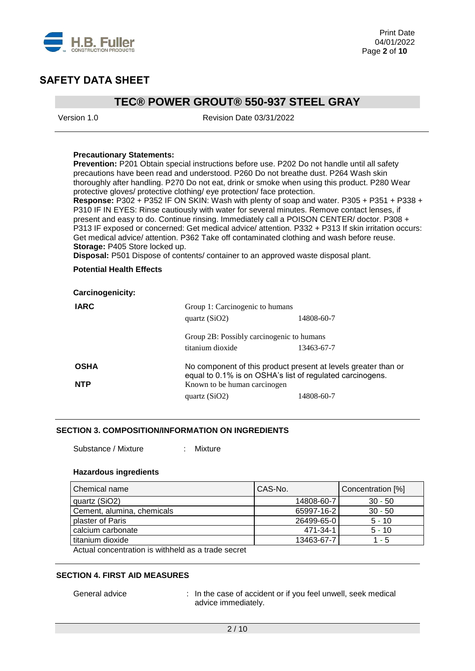

### **TEC® POWER GROUT® 550-937 STEEL GRAY**

Version 1.0 Revision Date 03/31/2022

#### **Precautionary Statements:**

**Prevention:** P201 Obtain special instructions before use. P202 Do not handle until all safety precautions have been read and understood. P260 Do not breathe dust. P264 Wash skin thoroughly after handling. P270 Do not eat, drink or smoke when using this product. P280 Wear protective gloves/ protective clothing/ eye protection/ face protection.

**Response:** P302 + P352 IF ON SKIN: Wash with plenty of soap and water. P305 + P351 + P338 + P310 IF IN EYES: Rinse cautiously with water for several minutes. Remove contact lenses, if present and easy to do. Continue rinsing. Immediately call a POISON CENTER/ doctor. P308 + P313 IF exposed or concerned: Get medical advice/ attention. P332 + P313 If skin irritation occurs: Get medical advice/ attention. P362 Take off contaminated clothing and wash before reuse. **Storage:** P405 Store locked up.

**Disposal:** P501 Dispose of contents/ container to an approved waste disposal plant.

#### **Potential Health Effects**

| <b>Carcinogenicity:</b> |                                                           |                                                                |
|-------------------------|-----------------------------------------------------------|----------------------------------------------------------------|
| <b>IARC</b>             | Group 1: Carcinogenic to humans<br>quartz $(SiO2)$        | 14808-60-7                                                     |
|                         | Group 2B: Possibly carcinogenic to humans                 |                                                                |
|                         | titanium dioxide                                          | 13463-67-7                                                     |
| <b>OSHA</b>             | equal to 0.1% is on OSHA's list of regulated carcinogens. | No component of this product present at levels greater than or |
| <b>NTP</b>              | Known to be human carcinogen                              |                                                                |
|                         | quartz $(SiO2)$                                           | 14808-60-7                                                     |

#### **SECTION 3. COMPOSITION/INFORMATION ON INGREDIENTS**

Substance / Mixture : Mixture

#### **Hazardous ingredients**

| Chemical name                                                                    | CAS-No.    | Concentration [%] |
|----------------------------------------------------------------------------------|------------|-------------------|
| quartz (SiO2)                                                                    | 14808-60-7 | $30 - 50$         |
| Cement, alumina, chemicals                                                       | 65997-16-2 | $30 - 50$         |
| plaster of Paris                                                                 | 26499-65-0 | $5 - 10$          |
| calcium carbonate                                                                | 471-34-1   | $5 - 10$          |
| titanium dioxide                                                                 | 13463-67-7 | 1 - 5             |
| A set of the contract of the set of the field of the contract of the contract of |            |                   |

Actual concentration is withheld as a trade secret

#### **SECTION 4. FIRST AID MEASURES**

General advice : In the case of accident or if you feel unwell, seek medical advice immediately.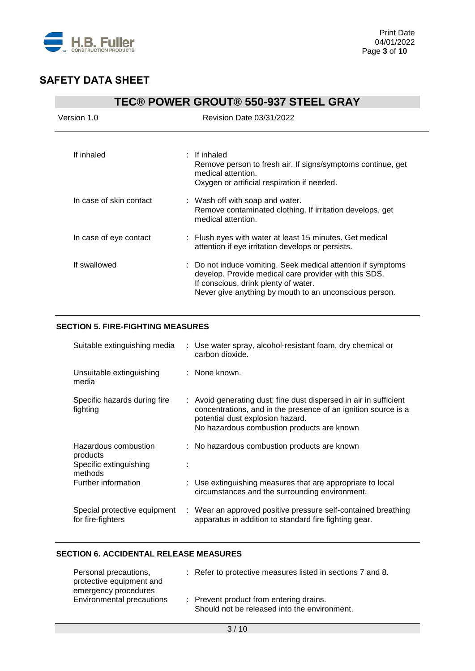

|                         | <b>TEC® POWER GROUT® 550-937 STEEL GRAY</b>                                                                                                                                                                             |
|-------------------------|-------------------------------------------------------------------------------------------------------------------------------------------------------------------------------------------------------------------------|
| Version 1.0             | <b>Revision Date 03/31/2022</b>                                                                                                                                                                                         |
| If inhaled              | $:$ If inhaled<br>Remove person to fresh air. If signs/symptoms continue, get<br>medical attention.<br>Oxygen or artificial respiration if needed.                                                                      |
| In case of skin contact | : Wash off with soap and water.<br>Remove contaminated clothing. If irritation develops, get<br>medical attention.                                                                                                      |
| In case of eye contact  | : Flush eyes with water at least 15 minutes. Get medical<br>attention if eye irritation develops or persists.                                                                                                           |
| If swallowed            | : Do not induce vomiting. Seek medical attention if symptoms<br>develop. Provide medical care provider with this SDS.<br>If conscious, drink plenty of water.<br>Never give anything by mouth to an unconscious person. |

### **SECTION 5. FIRE-FIGHTING MEASURES**

| Suitable extinguishing media                                          | : Use water spray, alcohol-resistant foam, dry chemical or<br>carbon dioxide.                                                                                                                                         |
|-----------------------------------------------------------------------|-----------------------------------------------------------------------------------------------------------------------------------------------------------------------------------------------------------------------|
| Unsuitable extinguishing<br>media                                     | : None known.                                                                                                                                                                                                         |
| Specific hazards during fire<br>fighting                              | : Avoid generating dust; fine dust dispersed in air in sufficient<br>concentrations, and in the presence of an ignition source is a<br>potential dust explosion hazard.<br>No hazardous combustion products are known |
| Hazardous combustion<br>products<br>Specific extinguishing<br>methods | : No hazardous combustion products are known                                                                                                                                                                          |
| Further information                                                   | : Use extinguishing measures that are appropriate to local<br>circumstances and the surrounding environment.                                                                                                          |
| Special protective equipment<br>for fire-fighters                     | : Wear an approved positive pressure self-contained breathing<br>apparatus in addition to standard fire fighting gear.                                                                                                |

### **SECTION 6. ACCIDENTAL RELEASE MEASURES**

| Personal precautions,<br>protective equipment and<br>emergency procedures | : Refer to protective measures listed in sections 7 and 8.                              |
|---------------------------------------------------------------------------|-----------------------------------------------------------------------------------------|
| Environmental precautions                                                 | : Prevent product from entering drains.<br>Should not be released into the environment. |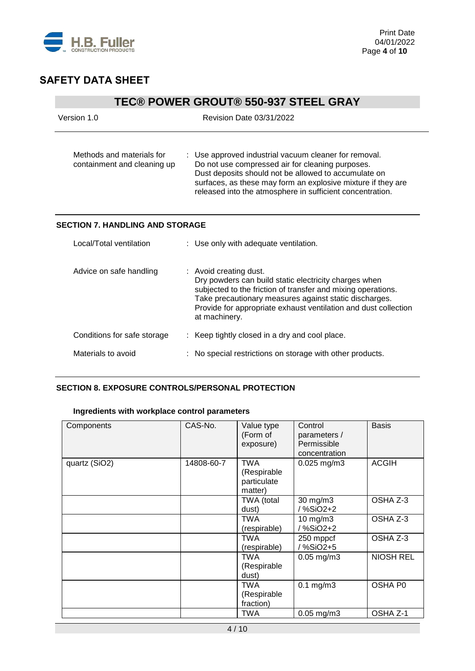

# **TEC® POWER GROUT® 550-937 STEEL GRAY**

| Version 1.0                                              | <b>Revision Date 03/31/2022</b>                                                                                                                                                                                                                                                                |
|----------------------------------------------------------|------------------------------------------------------------------------------------------------------------------------------------------------------------------------------------------------------------------------------------------------------------------------------------------------|
| Methods and materials for<br>containment and cleaning up | : Use approved industrial vacuum cleaner for removal.<br>Do not use compressed air for cleaning purposes.<br>Dust deposits should not be allowed to accumulate on<br>surfaces, as these may form an explosive mixture if they are<br>released into the atmosphere in sufficient concentration. |
| <b>SECTION 7. HANDLING AND STORAGE</b>                   |                                                                                                                                                                                                                                                                                                |
| Local/Total ventilation                                  | : Use only with adequate ventilation.                                                                                                                                                                                                                                                          |
| Advice on safe handling                                  | : Avoid creating dust.<br>Dry powders can build static electricity charges when<br>subjected to the friction of transfer and mixing operations.<br>Take precautionary measures against static discharges.<br>Provide for appropriate exhaust ventilation and dust collection<br>at machinery.  |
| Conditions for safe storage                              | : Keep tightly closed in a dry and cool place.                                                                                                                                                                                                                                                 |
| Materials to avoid                                       | No special restrictions on storage with other products.                                                                                                                                                                                                                                        |

### **SECTION 8. EXPOSURE CONTROLS/PERSONAL PROTECTION**

### **Ingredients with workplace control parameters**

| Components    | CAS-No.    | Value type<br>(Form of<br>exposure)                 | Control<br>parameters /<br>Permissible<br>concentration | <b>Basis</b>     |
|---------------|------------|-----------------------------------------------------|---------------------------------------------------------|------------------|
| quartz (SiO2) | 14808-60-7 | <b>TWA</b><br>(Respirable<br>particulate<br>matter) | $0.025$ mg/m3                                           | <b>ACGIH</b>     |
|               |            | TWA (total<br>dust)                                 | 30 mg/m3<br>/ %SiO2+2                                   | OSHA Z-3         |
|               |            | TWA<br>(respirable)                                 | $10$ mg/m $3$<br>/ %SiO2+2                              | OSHA Z-3         |
|               |            | TWA<br>(respirable)                                 | 250 mppcf<br>/%SiO2+5                                   | OSHA Z-3         |
|               |            | TWA<br>(Respirable<br>dust)                         | $0.05$ mg/m $3$                                         | <b>NIOSH REL</b> |
|               |            | TWA<br>(Respirable<br>fraction)                     | $0.1$ mg/m $3$                                          | OSHA P0          |
|               |            | TWA                                                 | $0.05$ mg/m $3$                                         | OSHA Z-1         |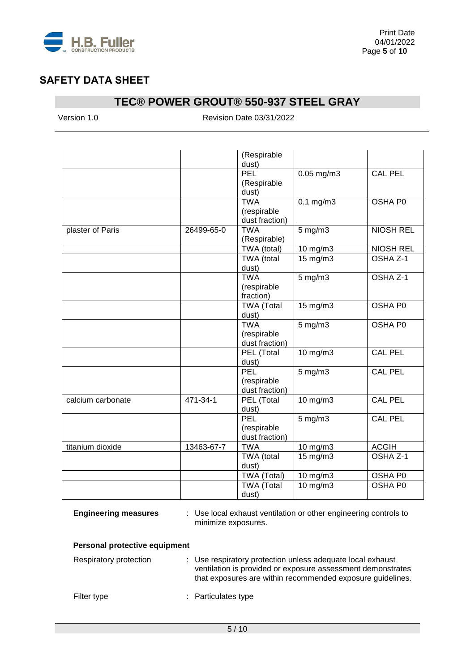

# **TEC® POWER GROUT® 550-937 STEEL GRAY**

Version 1.0 Revision Date 03/31/2022

|                   |            | (Respirable<br>dust)                        |                |                     |
|-------------------|------------|---------------------------------------------|----------------|---------------------|
|                   |            | PEL<br>(Respirable<br>dust)                 | $0.05$ mg/m3   | <b>CAL PEL</b>      |
|                   |            | <b>TWA</b><br>(respirable<br>dust fraction) | $0.1$ mg/m $3$ | OSHA P0             |
| plaster of Paris  | 26499-65-0 | <b>TWA</b><br>(Respirable)                  | $5$ mg/m $3$   | <b>NIOSH REL</b>    |
|                   |            | TWA (total)                                 | 10 mg/m3       | <b>NIOSH REL</b>    |
|                   |            | TWA (total<br>dust)                         | 15 mg/m3       | OSHA Z-1            |
|                   |            | <b>TWA</b><br>(respirable<br>fraction)      | $5$ mg/m $3$   | OSHA Z-1            |
|                   |            | <b>TWA (Total</b><br>dust)                  | 15 mg/m3       | OSHA P0             |
|                   |            | <b>TWA</b><br>(respirable<br>dust fraction) | $5$ mg/m $3$   | OSHA P0             |
|                   |            | PEL (Total<br>dust)                         | $10$ mg/m $3$  | <b>CAL PEL</b>      |
|                   |            | <b>PEL</b><br>(respirable<br>dust fraction) | $5$ mg/m $3$   | <b>CAL PEL</b>      |
| calcium carbonate | 471-34-1   | PEL (Total<br>dust)                         | $10$ mg/m $3$  | <b>CAL PEL</b>      |
|                   |            | PEL<br>(respirable<br>dust fraction)        | $5$ mg/m $3$   | <b>CAL PEL</b>      |
| titanium dioxide  | 13463-67-7 | <b>TWA</b>                                  | 10 mg/m3       | <b>ACGIH</b>        |
|                   |            | TWA (total<br>dust)                         | 15 mg/m3       | OSHA <sub>Z-1</sub> |
|                   |            | TWA (Total)                                 | 10 mg/m3       | OSHA P0             |
|                   |            | <b>TWA (Total</b><br>dust)                  | 10 mg/m3       | OSHA P0             |

**Engineering measures** : Use local exhaust ventilation or other engineering controls to minimize exposures.

### **Personal protective equipment**

| Respiratory protection | : Use respiratory protection unless adequate local exhaust<br>ventilation is provided or exposure assessment demonstrates<br>that exposures are within recommended exposure guidelines. |
|------------------------|-----------------------------------------------------------------------------------------------------------------------------------------------------------------------------------------|
| Filter type            | : Particulates type                                                                                                                                                                     |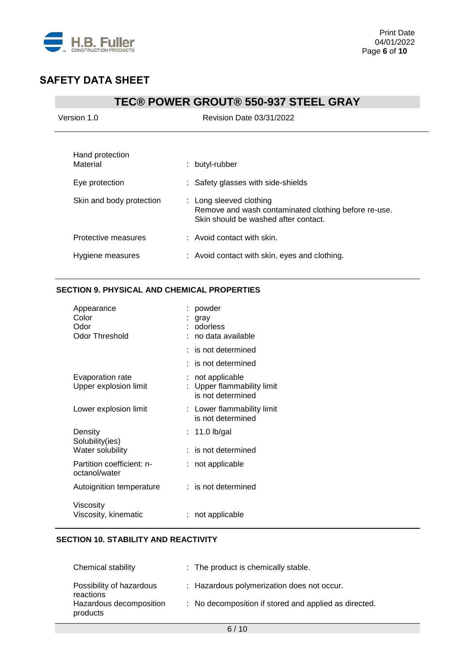

# **TEC® POWER GROUT® 550-937 STEEL GRAY**

| Version 1.0                                   | <b>Revision Date 03/31/2022</b>                                                                                         |
|-----------------------------------------------|-------------------------------------------------------------------------------------------------------------------------|
| Hand protection<br>Material<br>Eye protection | : butyl-rubber<br>: Safety glasses with side-shields                                                                    |
| Skin and body protection                      | : Long sleeved clothing<br>Remove and wash contaminated clothing before re-use.<br>Skin should be washed after contact. |
| Protective measures                           | : Avoid contact with skin.                                                                                              |
| Hygiene measures                              | : Avoid contact with skin, eyes and clothing.                                                                           |

### **SECTION 9. PHYSICAL AND CHEMICAL PROPERTIES**

| Appearance<br>Color<br>Odor<br><b>Odor Threshold</b> | powder<br>gray<br>odorless<br>no data available                 |
|------------------------------------------------------|-----------------------------------------------------------------|
|                                                      | $:$ is not determined                                           |
|                                                      | : is not determined                                             |
| Evaporation rate<br>Upper explosion limit            | not applicable<br>Upper flammability limit<br>is not determined |
| Lower explosion limit                                | : Lower flammability limit<br>is not determined                 |
| Density<br>Solubility(ies)                           | : 11.0 lb/gal                                                   |
| Water solubility                                     | is not determined                                               |
| Partition coefficient: n-<br>octanol/water           | not applicable                                                  |
| Autoignition temperature                             | $:$ is not determined                                           |
| Viscosity<br>Viscosity, kinematic                    | not applicable                                                  |

### **SECTION 10. STABILITY AND REACTIVITY**

| <b>Chemical stability</b>             | : The product is chemically stable.                   |
|---------------------------------------|-------------------------------------------------------|
| Possibility of hazardous<br>reactions | : Hazardous polymerization does not occur.            |
| Hazardous decomposition<br>products   | : No decomposition if stored and applied as directed. |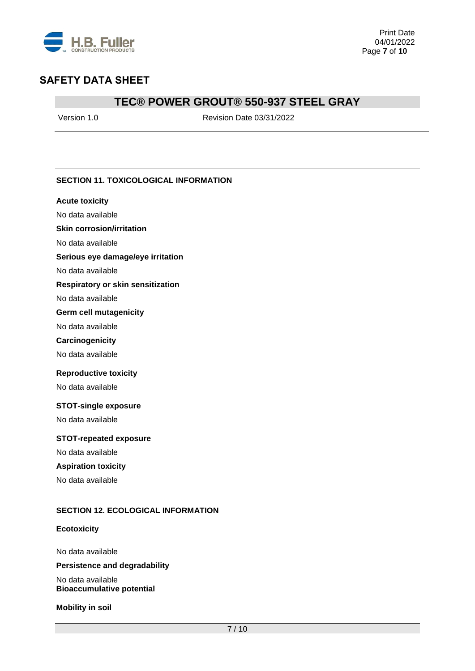

### **TEC® POWER GROUT® 550-937 STEEL GRAY**

Version 1.0 Revision Date 03/31/2022

### **SECTION 11. TOXICOLOGICAL INFORMATION**

#### **Acute toxicity**

No data available

### **Skin corrosion/irritation**

No data available

#### **Serious eye damage/eye irritation**

No data available

#### **Respiratory or skin sensitization**

No data available

#### **Germ cell mutagenicity**

No data available

#### **Carcinogenicity**

No data available

#### **Reproductive toxicity**

No data available

#### **STOT-single exposure**

No data available

#### **STOT-repeated exposure**

No data available

### **Aspiration toxicity**

No data available

#### **SECTION 12. ECOLOGICAL INFORMATION**

#### **Ecotoxicity**

No data available **Persistence and degradability**

No data available **Bioaccumulative potential**

**Mobility in soil**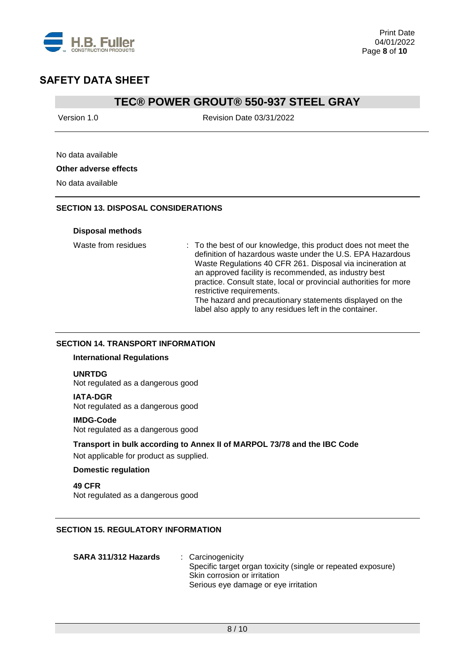

### **TEC® POWER GROUT® 550-937 STEEL GRAY**

Version 1.0 Revision Date 03/31/2022

### No data available

#### **Other adverse effects**

No data available

### **SECTION 13. DISPOSAL CONSIDERATIONS**

#### **Disposal methods**

Waste from residues : To the best of our knowledge, this product does not meet the definition of hazardous waste under the U.S. EPA Hazardous Waste Regulations 40 CFR 261. Disposal via incineration at an approved facility is recommended, as industry best practice. Consult state, local or provincial authorities for more restrictive requirements. The hazard and precautionary statements displayed on the label also apply to any residues left in the container.

#### **SECTION 14. TRANSPORT INFORMATION**

#### **International Regulations**

#### **UNRTDG**

Not regulated as a dangerous good

#### **IATA-DGR**

Not regulated as a dangerous good

#### **IMDG-Code**

Not regulated as a dangerous good

#### **Transport in bulk according to Annex II of MARPOL 73/78 and the IBC Code**

Not applicable for product as supplied.

#### **Domestic regulation**

**49 CFR** Not regulated as a dangerous good

### **SECTION 15. REGULATORY INFORMATION**

| SARA 311/312 Hazards | : Carcinogenicity                                            |
|----------------------|--------------------------------------------------------------|
|                      | Specific target organ toxicity (single or repeated exposure) |
|                      | Skin corrosion or irritation                                 |
|                      | Serious eye damage or eye irritation                         |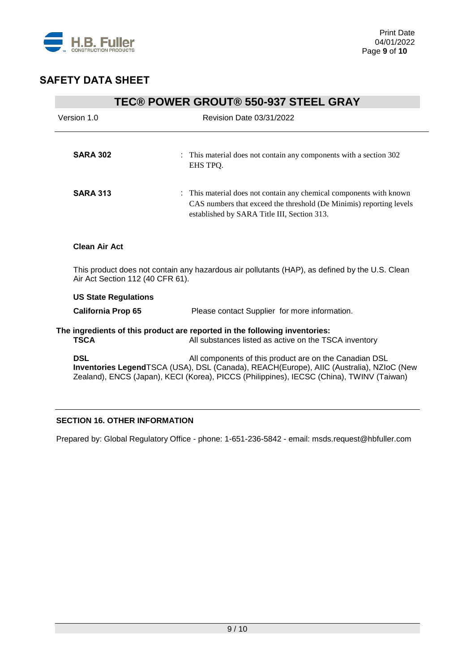

| <b>TEC® POWER GROUT® 550-937 STEEL GRAY</b> |                                                                                                                                                                                                                                               |  |  |
|---------------------------------------------|-----------------------------------------------------------------------------------------------------------------------------------------------------------------------------------------------------------------------------------------------|--|--|
| Version 1.0                                 | <b>Revision Date 03/31/2022</b>                                                                                                                                                                                                               |  |  |
|                                             |                                                                                                                                                                                                                                               |  |  |
| <b>SARA 302</b>                             | : This material does not contain any components with a section 302<br>EHS TPQ.                                                                                                                                                                |  |  |
| <b>SARA 313</b>                             | : This material does not contain any chemical components with known<br>CAS numbers that exceed the threshold (De Minimis) reporting levels<br>established by SARA Title III, Section 313.                                                     |  |  |
| <b>Clean Air Act</b>                        |                                                                                                                                                                                                                                               |  |  |
| Air Act Section 112 (40 CFR 61).            | This product does not contain any hazardous air pollutants (HAP), as defined by the U.S. Clean                                                                                                                                                |  |  |
| <b>US State Regulations</b>                 |                                                                                                                                                                                                                                               |  |  |
| <b>California Prop 65</b>                   | Please contact Supplier for more information.                                                                                                                                                                                                 |  |  |
| <b>TSCA</b>                                 | The ingredients of this product are reported in the following inventories:<br>All substances listed as active on the TSCA inventory                                                                                                           |  |  |
| <b>DSL</b>                                  | All components of this product are on the Canadian DSL<br>Inventories LegendTSCA (USA), DSL (Canada), REACH(Europe), AIIC (Australia), NZIoC (New<br>Zealand), ENCS (Japan), KECI (Korea), PICCS (Philippines), IECSC (China), TWINV (Taiwan) |  |  |

### **SECTION 16. OTHER INFORMATION**

Prepared by: Global Regulatory Office - phone: 1-651-236-5842 - email: msds.request@hbfuller.com